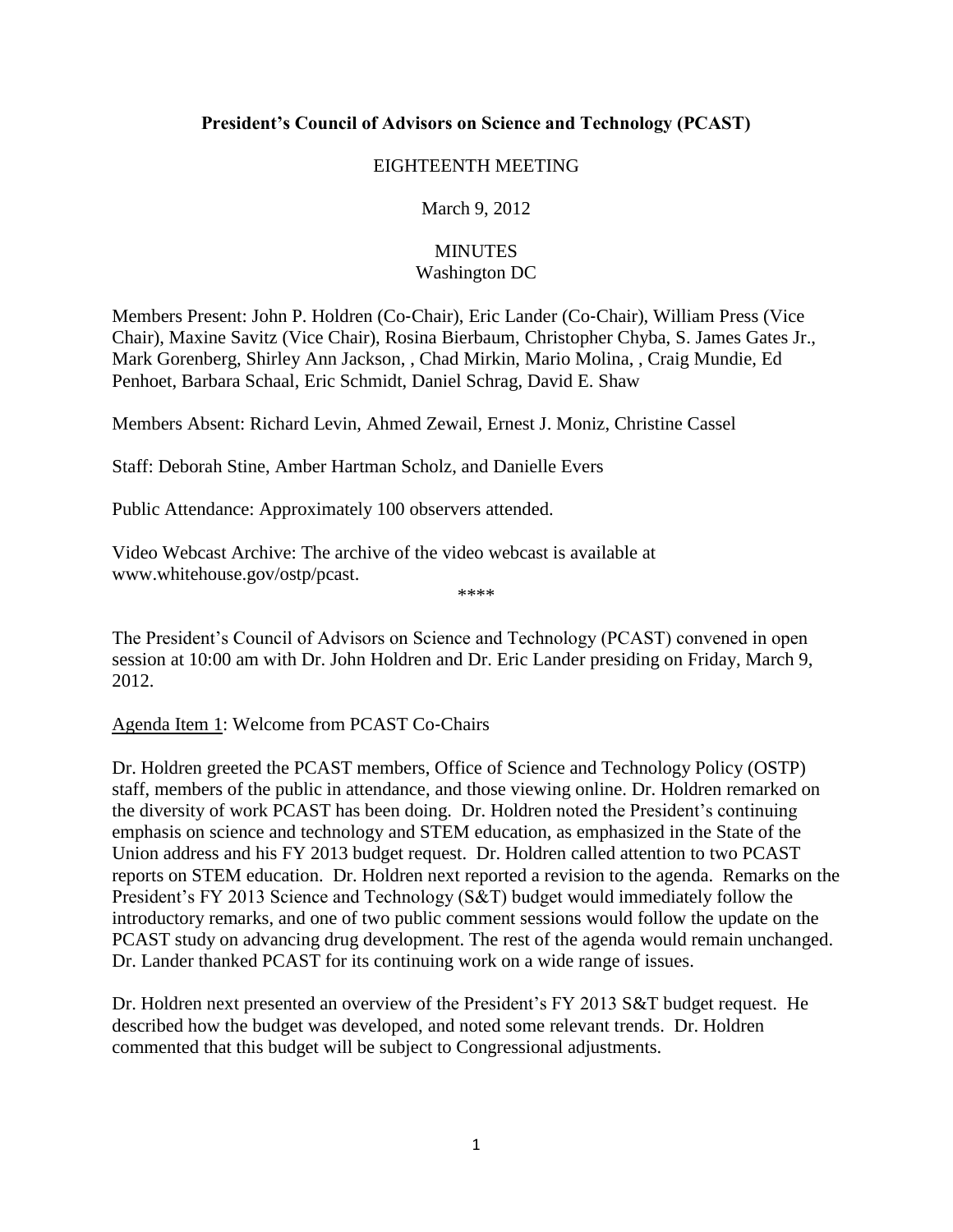# **President's Council of Advisors on Science and Technology (PCAST)**

#### EIGHTEENTH MEETING

## March 9, 2012

## **MINUTES** Washington DC

Members Present: John P. Holdren (Co‐Chair), Eric Lander (Co‐Chair), William Press (Vice Chair), Maxine Savitz (Vice Chair), Rosina Bierbaum, Christopher Chyba, S. James Gates Jr., Mark Gorenberg, Shirley Ann Jackson, , Chad Mirkin, Mario Molina, , Craig Mundie, Ed Penhoet, Barbara Schaal, Eric Schmidt, Daniel Schrag, David E. Shaw

Members Absent: Richard Levin, Ahmed Zewail, Ernest J. Moniz, Christine Cassel

Staff: Deborah Stine, Amber Hartman Scholz, and Danielle Evers

Public Attendance: Approximately 100 observers attended.

Video Webcast Archive: The archive of the video webcast is available at [www.whitehouse.gov/ostp/pcast.](http://www.whitehouse.gov/ostp/pcast)

The President's Council of Advisors on Science and Technology (PCAST) convened in open session at 10:00 am with Dr. John Holdren and Dr. Eric Lander presiding on Friday, March 9, 2012.

\*\*\*\*

## Agenda Item 1: Welcome from PCAST Co‐Chairs

Dr. Holdren greeted the PCAST members, Office of Science and Technology Policy (OSTP) staff, members of the public in attendance, and those viewing online. Dr. Holdren remarked on the diversity of work PCAST has been doing. Dr. Holdren noted the President's continuing emphasis on science and technology and STEM education, as emphasized in the State of the Union address and his FY 2013 budget request. Dr. Holdren called attention to two PCAST reports on STEM education. Dr. Holdren next reported a revision to the agenda. Remarks on the President's FY 2013 Science and Technology (S&T) budget would immediately follow the introductory remarks, and one of two public comment sessions would follow the update on the PCAST study on advancing drug development. The rest of the agenda would remain unchanged. Dr. Lander thanked PCAST for its continuing work on a wide range of issues.

Dr. Holdren next presented an overview of the President's FY 2013 S&T budget request. He described how the budget was developed, and noted some relevant trends. Dr. Holdren commented that this budget will be subject to Congressional adjustments.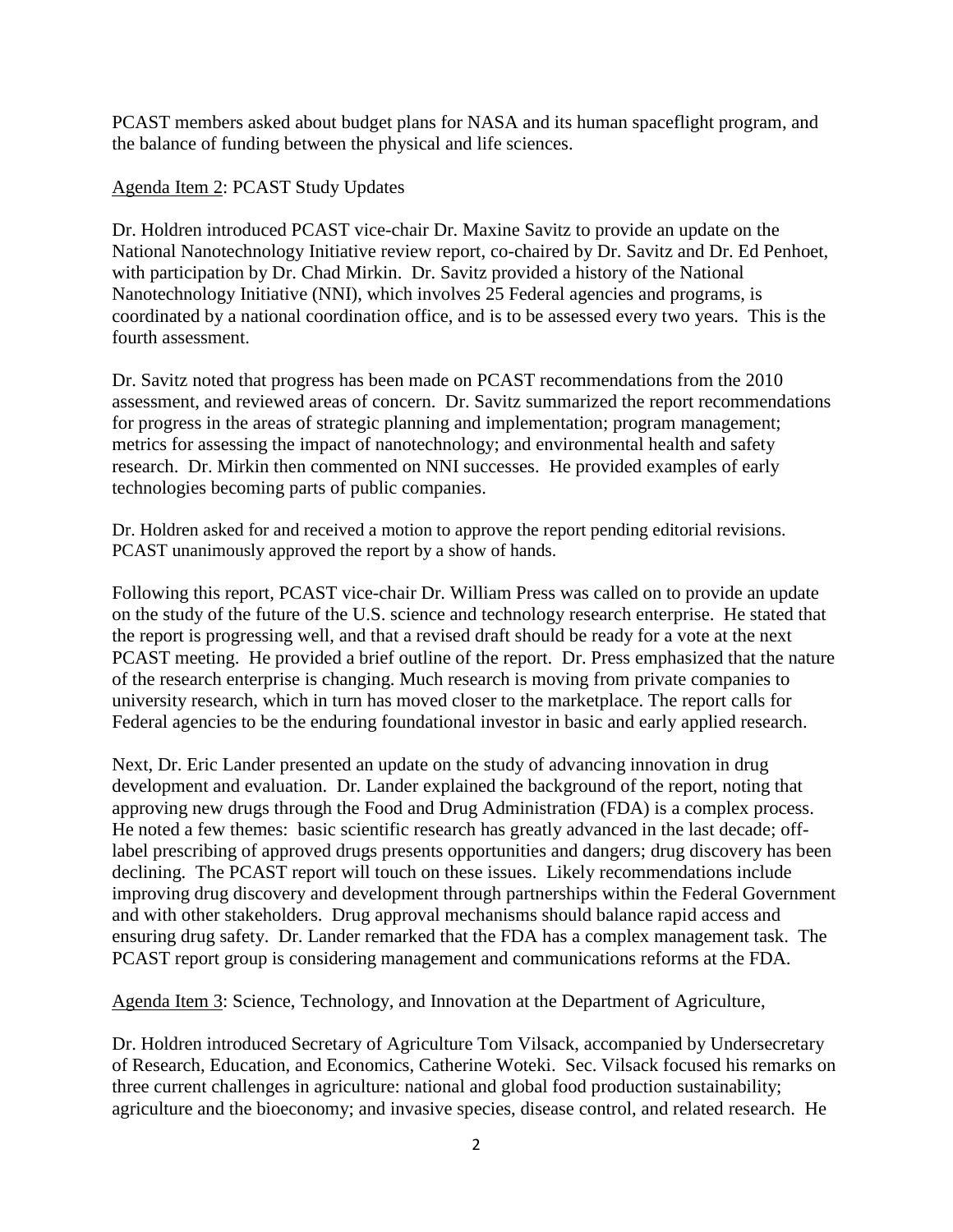PCAST members asked about budget plans for NASA and its human spaceflight program, and the balance of funding between the physical and life sciences.

Agenda Item 2: PCAST Study Updates

Dr. Holdren introduced PCAST vice-chair Dr. Maxine Savitz to provide an update on the National Nanotechnology Initiative review report, co-chaired by Dr. Savitz and Dr. Ed Penhoet, with participation by Dr. Chad Mirkin. Dr. Savitz provided a history of the National Nanotechnology Initiative (NNI), which involves 25 Federal agencies and programs, is coordinated by a national coordination office, and is to be assessed every two years. This is the fourth assessment.

Dr. Savitz noted that progress has been made on PCAST recommendations from the 2010 assessment, and reviewed areas of concern. Dr. Savitz summarized the report recommendations for progress in the areas of strategic planning and implementation; program management; metrics for assessing the impact of nanotechnology; and environmental health and safety research. Dr. Mirkin then commented on NNI successes. He provided examples of early technologies becoming parts of public companies.

Dr. Holdren asked for and received a motion to approve the report pending editorial revisions. PCAST unanimously approved the report by a show of hands.

Following this report, PCAST vice-chair Dr. William Press was called on to provide an update on the study of the future of the U.S. science and technology research enterprise. He stated that the report is progressing well, and that a revised draft should be ready for a vote at the next PCAST meeting. He provided a brief outline of the report. Dr. Press emphasized that the nature of the research enterprise is changing. Much research is moving from private companies to university research, which in turn has moved closer to the marketplace. The report calls for Federal agencies to be the enduring foundational investor in basic and early applied research.

Next, Dr. Eric Lander presented an update on the study of advancing innovation in drug development and evaluation. Dr. Lander explained the background of the report, noting that approving new drugs through the Food and Drug Administration (FDA) is a complex process. He noted a few themes: basic scientific research has greatly advanced in the last decade; offlabel prescribing of approved drugs presents opportunities and dangers; drug discovery has been declining. The PCAST report will touch on these issues. Likely recommendations include improving drug discovery and development through partnerships within the Federal Government and with other stakeholders. Drug approval mechanisms should balance rapid access and ensuring drug safety. Dr. Lander remarked that the FDA has a complex management task. The PCAST report group is considering management and communications reforms at the FDA.

Agenda Item 3: Science, Technology, and Innovation at the Department of Agriculture,

Dr. Holdren introduced Secretary of Agriculture Tom Vilsack, accompanied by Undersecretary of Research, Education, and Economics, Catherine Woteki. Sec. Vilsack focused his remarks on three current challenges in agriculture: national and global food production sustainability; agriculture and the bioeconomy; and invasive species, disease control, and related research. He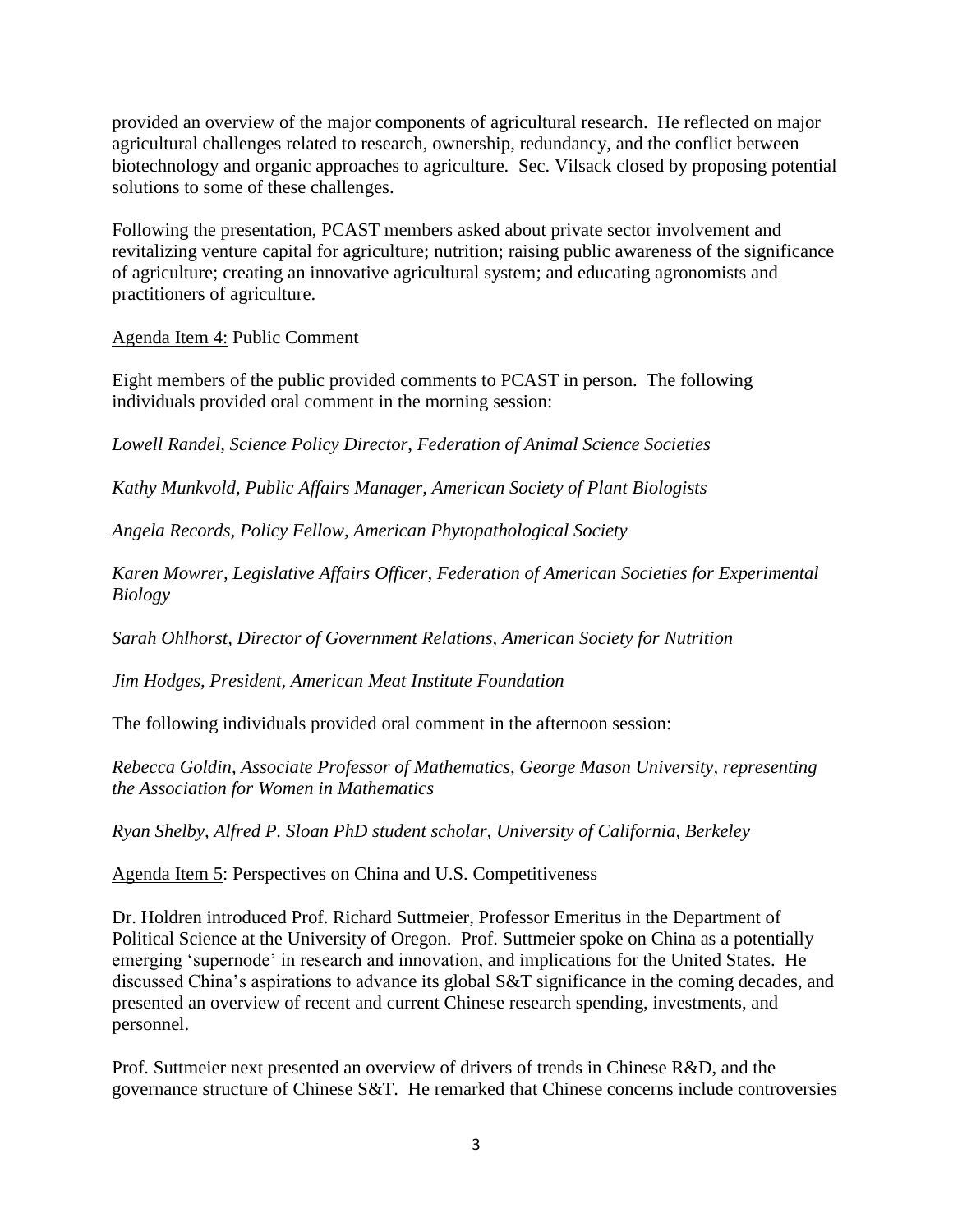provided an overview of the major components of agricultural research. He reflected on major agricultural challenges related to research, ownership, redundancy, and the conflict between biotechnology and organic approaches to agriculture. Sec. Vilsack closed by proposing potential solutions to some of these challenges.

Following the presentation, PCAST members asked about private sector involvement and revitalizing venture capital for agriculture; nutrition; raising public awareness of the significance of agriculture; creating an innovative agricultural system; and educating agronomists and practitioners of agriculture.

Agenda Item 4: Public Comment

Eight members of the public provided comments to PCAST in person. The following individuals provided oral comment in the morning session:

*Lowell Randel, Science Policy Director, Federation of Animal Science Societies*

*Kathy Munkvold, Public Affairs Manager, American Society of Plant Biologists*

*Angela Records, Policy Fellow, American Phytopathological Society*

*Karen Mowrer, Legislative Affairs Officer, Federation of American Societies for Experimental Biology*

*Sarah Ohlhorst, Director of Government Relations, American Society for Nutrition*

*Jim Hodges, President, American Meat Institute Foundation*

The following individuals provided oral comment in the afternoon session:

*Rebecca Goldin, Associate Professor of Mathematics, George Mason University, representing the Association for Women in Mathematics*

*Ryan Shelby, Alfred P. Sloan PhD student scholar, University of California, Berkeley*

Agenda Item 5: Perspectives on China and U.S. Competitiveness

Dr. Holdren introduced Prof. Richard Suttmeier, Professor Emeritus in the Department of Political Science at the University of Oregon. Prof. Suttmeier spoke on China as a potentially emerging 'supernode' in research and innovation, and implications for the United States. He discussed China's aspirations to advance its global S&T significance in the coming decades, and presented an overview of recent and current Chinese research spending, investments, and personnel.

Prof. Suttmeier next presented an overview of drivers of trends in Chinese R&D, and the governance structure of Chinese S&T. He remarked that Chinese concerns include controversies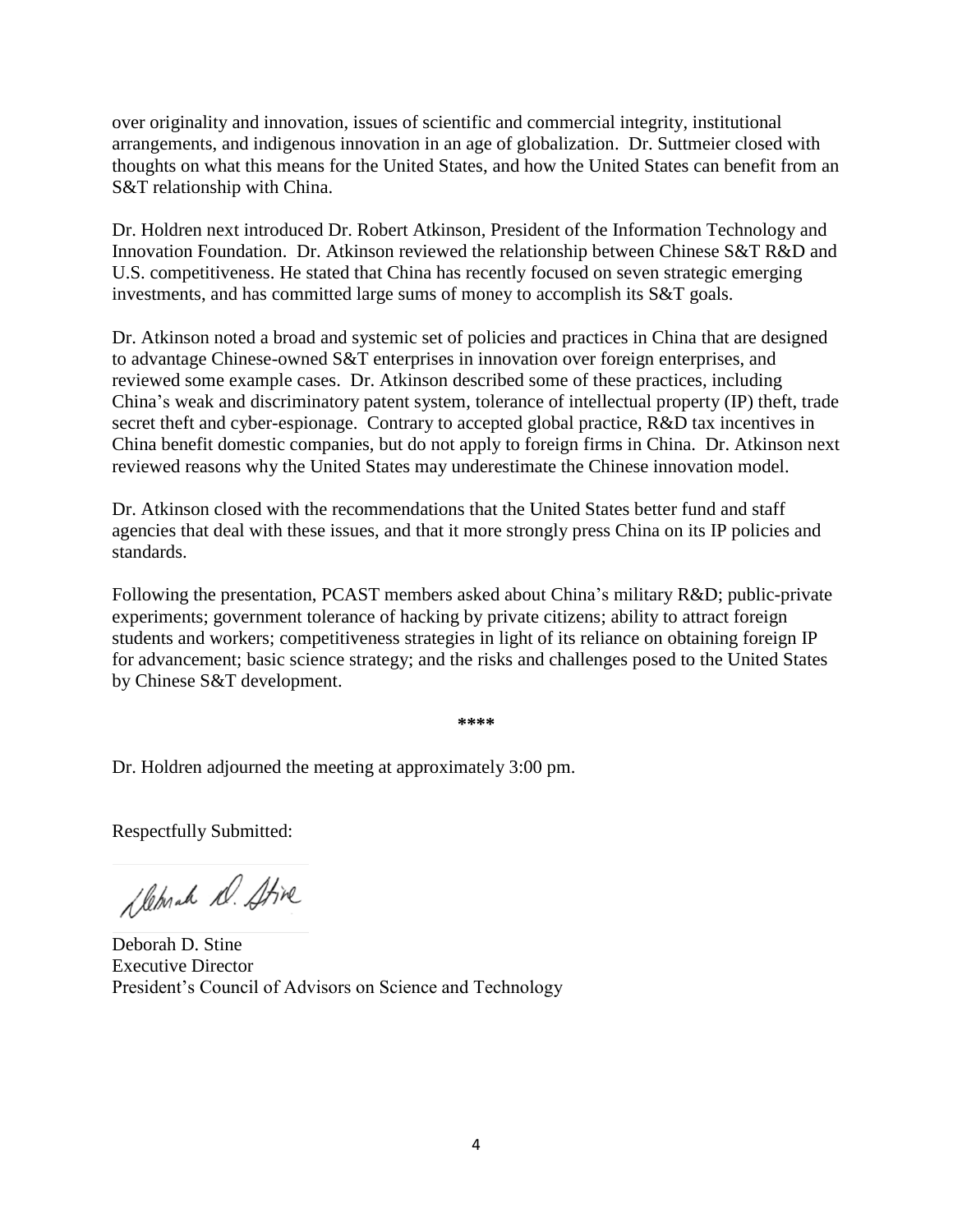over originality and innovation, issues of scientific and commercial integrity, institutional arrangements, and indigenous innovation in an age of globalization. Dr. Suttmeier closed with thoughts on what this means for the United States, and how the United States can benefit from an S&T relationship with China.

Dr. Holdren next introduced Dr. Robert Atkinson, President of the Information Technology and Innovation Foundation. Dr. Atkinson reviewed the relationship between Chinese S&T R&D and U.S. competitiveness. He stated that China has recently focused on seven strategic emerging investments, and has committed large sums of money to accomplish its S&T goals.

Dr. Atkinson noted a broad and systemic set of policies and practices in China that are designed to advantage Chinese-owned S&T enterprises in innovation over foreign enterprises, and reviewed some example cases. Dr. Atkinson described some of these practices, including China's weak and discriminatory patent system, tolerance of intellectual property (IP) theft, trade secret theft and cyber-espionage. Contrary to accepted global practice, R&D tax incentives in China benefit domestic companies, but do not apply to foreign firms in China. Dr. Atkinson next reviewed reasons why the United States may underestimate the Chinese innovation model.

Dr. Atkinson closed with the recommendations that the United States better fund and staff agencies that deal with these issues, and that it more strongly press China on its IP policies and standards.

Following the presentation, PCAST members asked about China's military R&D; public-private experiments; government tolerance of hacking by private citizens; ability to attract foreign students and workers; competitiveness strategies in light of its reliance on obtaining foreign IP for advancement; basic science strategy; and the risks and challenges posed to the United States by Chinese S&T development.

**\*\*\*\***

Dr. Holdren adjourned the meeting at approximately 3:00 pm.

Respectfully Submitted:

Sleprah D. Stive

Deborah D. Stine Executive Director President's Council of Advisors on Science and Technology